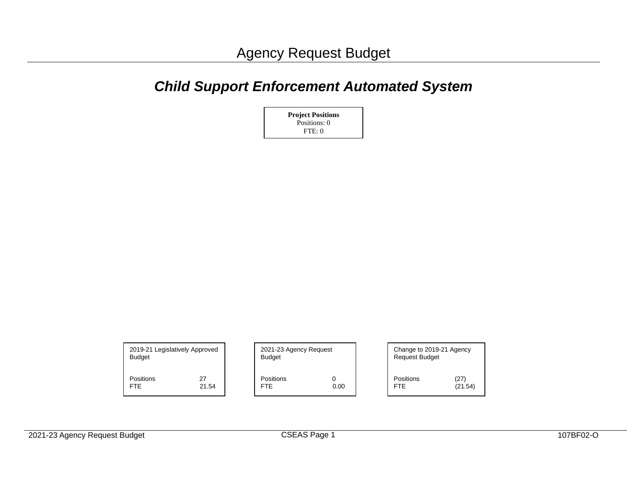## *Child Support Enforcement Automated System*



| 2019-21 Legislatively Approved<br><b>Budget</b> |       | 2021-23 Agency Request<br><b>Budget</b> |      |                  | Change to 2019-21 Agency<br><b>Request Budget</b> |  |  |  |
|-------------------------------------------------|-------|-----------------------------------------|------|------------------|---------------------------------------------------|--|--|--|
| Positions                                       | 27    | Positions                               | 0.00 | <b>Positions</b> | (27)                                              |  |  |  |
| <b>FTE</b>                                      | 21.54 | <b>FTE</b>                              |      | <b>FTE</b>       | (21.54)                                           |  |  |  |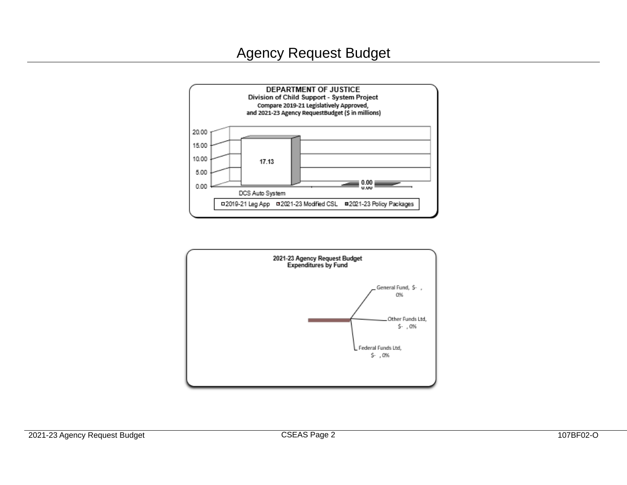## Agency Request Budget



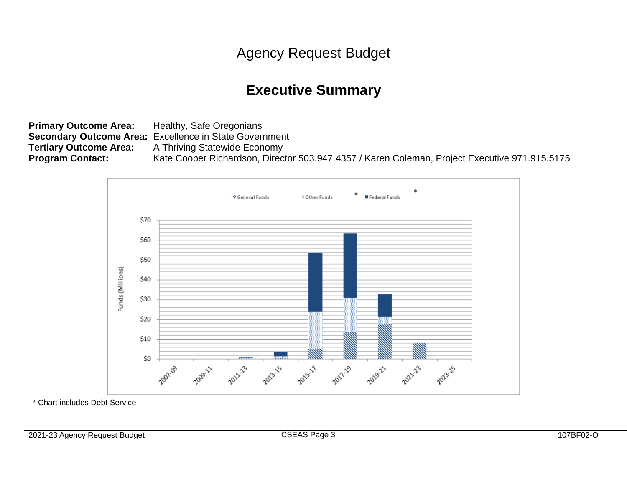# **Executive Summary**

**Primary Outcome Area:** Healthy, Safe Oregonians **Secondary Outcome Are**a**:** Excellence in State Government **Tertiary Outcome Area:** A Thriving Statewide Economy **Program Contact:** Kate Cooper Richardson, Director 503.947.4357 / Karen Coleman, Project Executive 971.915.5175



\* Chart includes Debt Service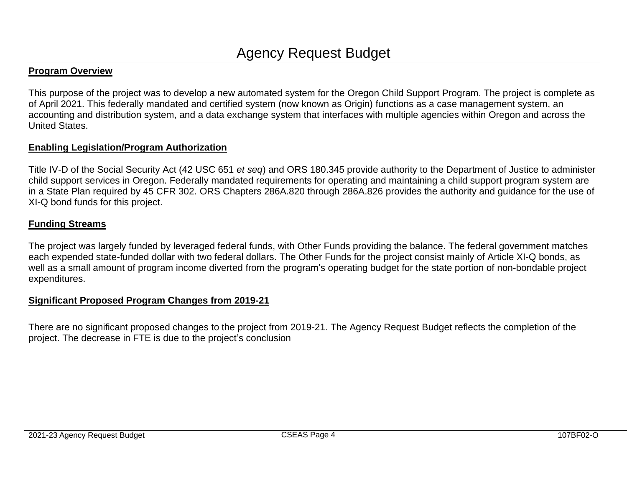#### **Program Overview**

This purpose of the project was to develop a new automated system for the Oregon Child Support Program. The project is complete as of April 2021. This federally mandated and certified system (now known as Origin) functions as a case management system, an accounting and distribution system, and a data exchange system that interfaces with multiple agencies within Oregon and across the United States.

#### **Enabling Legislation/Program Authorization**

Title IV-D of the Social Security Act (42 USC 651 *et seq*) and ORS 180.345 provide authority to the Department of Justice to administer child support services in Oregon. Federally mandated requirements for operating and maintaining a child support program system are in a State Plan required by 45 CFR 302. ORS Chapters 286A.820 through 286A.826 provides the authority and guidance for the use of XI-Q bond funds for this project.

#### **Funding Streams**

The project was largely funded by leveraged federal funds, with Other Funds providing the balance. The federal government matches each expended state-funded dollar with two federal dollars. The Other Funds for the project consist mainly of Article XI-Q bonds, as well as a small amount of program income diverted from the program's operating budget for the state portion of non-bondable project expenditures.

#### **Significant Proposed Program Changes from 2019-21**

There are no significant proposed changes to the project from 2019-21. The Agency Request Budget reflects the completion of the project. The decrease in FTE is due to the project's conclusion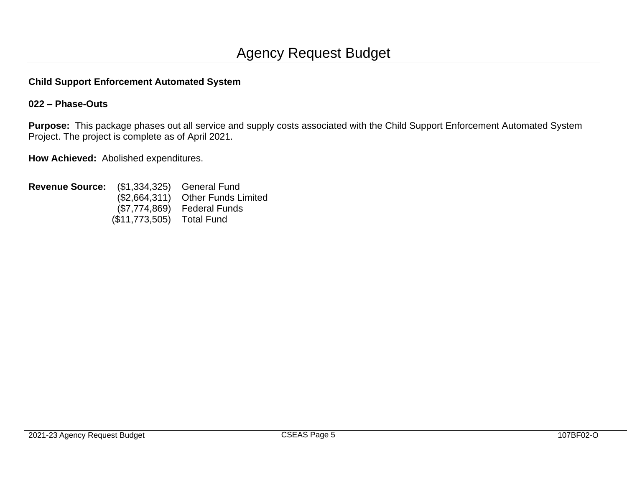## **Child Support Enforcement Automated System**

## **022 – Phase-Outs**

**Purpose:** This package phases out all service and supply costs associated with the Child Support Enforcement Automated System Project. The project is complete as of April 2021.

**How Achieved:** Abolished expenditures.

| <b>Revenue Source:</b> (\$1,334,325) General Fund |                           |                                   |
|---------------------------------------------------|---------------------------|-----------------------------------|
|                                                   |                           | (\$2,664,311) Other Funds Limited |
|                                                   |                           | (\$7,774,869) Federal Funds       |
|                                                   | (\$11,773,505) Total Fund |                                   |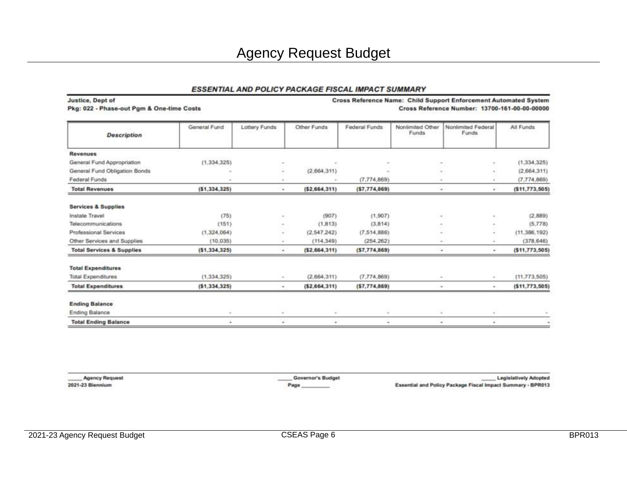## Agency Request Budget

#### ESSENTIAL AND POLICY PACKAGE FISCAL IMPACT SUMMARY

Justice, Dept of Pkg: 022 - Phase-out Pgm & One-time Costs Cross Reference Name: Child Support Enforcement Automated System Cross Reference Number: 13700-161-00-00-00000

| <b>Description</b>                   | General Fund   | Lottery Funds | Other Funds    | Federal Funds  | Nonlimited Other<br>Funds | Nonlimited Federal<br>Funds                                                                                                                                                                                                                                                                                                                                           | All Funds       |
|--------------------------------------|----------------|---------------|----------------|----------------|---------------------------|-----------------------------------------------------------------------------------------------------------------------------------------------------------------------------------------------------------------------------------------------------------------------------------------------------------------------------------------------------------------------|-----------------|
| <b>Revenues</b>                      |                |               |                |                |                           |                                                                                                                                                                                                                                                                                                                                                                       |                 |
| General Fund Appropriation           | (1, 334, 325)  | $\sim$        |                |                |                           | ÷                                                                                                                                                                                                                                                                                                                                                                     | (1,334,325)     |
| General Fund Obligation Bonds        |                | $\sim$        | (2,664,311)    |                |                           | ×.                                                                                                                                                                                                                                                                                                                                                                    | (2,664,311)     |
| Federal Funds                        |                |               |                | (7.774.869)    |                           | $\sim$<br>$\sim$                                                                                                                                                                                                                                                                                                                                                      | (7.774, 869)    |
| <b>Total Revenues</b>                | (51, 334, 325) | ٠             | (52, 664, 311) | (57, 774, 869) |                           | $\sim$<br>$\sim$                                                                                                                                                                                                                                                                                                                                                      | (511, 773, 505) |
| <b>Services &amp; Supplies</b>       |                |               |                |                |                           |                                                                                                                                                                                                                                                                                                                                                                       |                 |
| Instate Travel                       | (75)           | $\sim$        | (907)          | (1.907)        |                           | $\alpha$ .<br>$\sim$                                                                                                                                                                                                                                                                                                                                                  | (2,889)         |
| Telecommunications                   | (151)          | $\sim$        | (1, 813)       | (3.814)        |                           | $\sim$<br>$\alpha$ .                                                                                                                                                                                                                                                                                                                                                  | (5,778)         |
| Professional Services                | (1,324,064)    | $\sim$        | (2.547.242)    | (7.514.886)    |                           | $\sim$<br>$\frac{1}{2} \sum_{i=1}^n \frac{1}{2} \sum_{j=1}^n \frac{1}{2} \sum_{j=1}^n \frac{1}{2} \sum_{j=1}^n \frac{1}{2} \sum_{j=1}^n \frac{1}{2} \sum_{j=1}^n \frac{1}{2} \sum_{j=1}^n \frac{1}{2} \sum_{j=1}^n \frac{1}{2} \sum_{j=1}^n \frac{1}{2} \sum_{j=1}^n \frac{1}{2} \sum_{j=1}^n \frac{1}{2} \sum_{j=1}^n \frac{1}{2} \sum_{j=1}^n \frac{1}{2} \sum_{j=$ | (11, 386, 192)  |
| Other Services and Supplies          | (10.035)       | $\sim$        | (114.349)      | (254.262)      |                           | $\sim$<br>$\sim$                                                                                                                                                                                                                                                                                                                                                      | (378, 646)      |
| <b>Total Services &amp; Supplies</b> | (\$1,334,325)  | ۰             | (52, 664, 311) | (57, 774, 869) | ×<br>$\sim$               |                                                                                                                                                                                                                                                                                                                                                                       | (511, 773, 505) |
| <b>Total Expenditures</b>            |                |               |                |                |                           |                                                                                                                                                                                                                                                                                                                                                                       |                 |
| <b>Total Expenditures</b>            | (1,334,325)    | $\sim$        | (2.664, 311)   | (7.774, 869)   |                           | $\sim$<br>$\sim$                                                                                                                                                                                                                                                                                                                                                      | (11, 773, 505)  |
| <b>Total Expenditures</b>            | (51, 334, 325) | ٠             | (52, 664, 311) | (57, 774, 869) |                           | $\alpha$ .<br>$\blacksquare$                                                                                                                                                                                                                                                                                                                                          | (511, 773, 505) |
| <b>Ending Balance</b>                |                |               |                |                |                           |                                                                                                                                                                                                                                                                                                                                                                       |                 |
| Ending Balance                       | $\alpha$       | ÷             | $\alpha$ .     | ç              |                           | $\sim$<br>$\sim$                                                                                                                                                                                                                                                                                                                                                      |                 |
| <b>Total Ending Balance</b>          | ۰              | ٠             | ¥              | $\blacksquare$ |                           | ÷.<br>$\sim$                                                                                                                                                                                                                                                                                                                                                          | $\bullet$       |

**Agency Request** 2021-23 Biennium

Governor's Budget Page

**Legislatively Adopted** Essential and Policy Package Fiscal Impact Summary - BPR013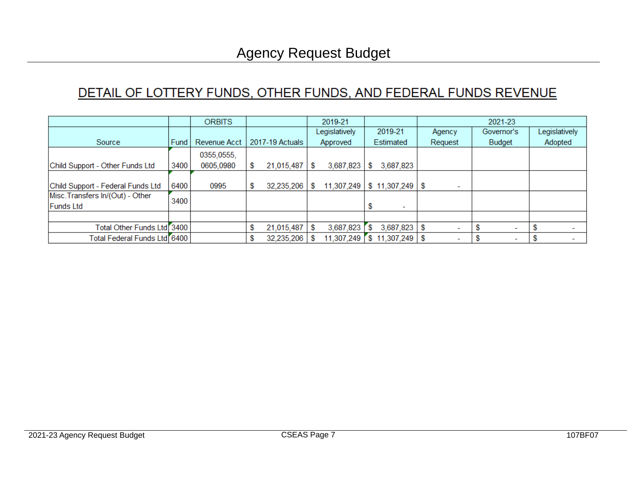## DETAIL OF LOTTERY FUNDS, OTHER FUNDS, AND FEDERAL FUNDS REVENUE

|                                           |        | <b>ORBITS</b>       |    | 2019-21         |   | 2021-23       |   |                                 |   |         |  |            |  |               |  |
|-------------------------------------------|--------|---------------------|----|-----------------|---|---------------|---|---------------------------------|---|---------|--|------------|--|---------------|--|
|                                           |        |                     |    |                 |   | Legislatively |   | 2019-21                         |   | Agency  |  | Governor's |  | Legislatively |  |
| Source                                    | Fund I | <b>Revenue Acct</b> |    | 2017-19 Actuals |   | Approved      |   | Estimated                       |   | Request |  | Budget     |  | Adopted       |  |
|                                           |        | 0355,0555,          |    |                 |   |               |   |                                 |   |         |  |            |  |               |  |
| Child Support - Other Funds Ltd           | 3400   | 0605,0980           | \$ | 21,015,487      | S | 3,687,823     | s | 3,687,823                       |   |         |  |            |  |               |  |
|                                           |        |                     |    |                 |   |               |   |                                 |   |         |  |            |  |               |  |
| Child Support - Federal Funds Ltd         | 6400   | 0995                | \$ | 32,235,206      | S |               |   | 11,307,249   \$ 11,307,249   \$ |   |         |  |            |  |               |  |
| Misc. Transfers In/(Out) - Other          | 3400   |                     |    |                 |   |               |   |                                 |   |         |  |            |  |               |  |
| <b>Funds Ltd</b>                          |        |                     |    |                 |   |               |   |                                 |   |         |  |            |  |               |  |
|                                           |        |                     |    |                 |   |               |   |                                 |   |         |  |            |  |               |  |
| Total Other Funds Ltd <sup>7</sup> 3400   |        |                     | \$ | 21,015,487      | S | 3,687,823     | S | 3,687,823                       | S |         |  |            |  |               |  |
| Total Federal Funds Ltd <sup>[6400]</sup> |        |                     | S  | 32,235,206      |   | 11,307,249    |   | \$11,307,249                    |   |         |  |            |  |               |  |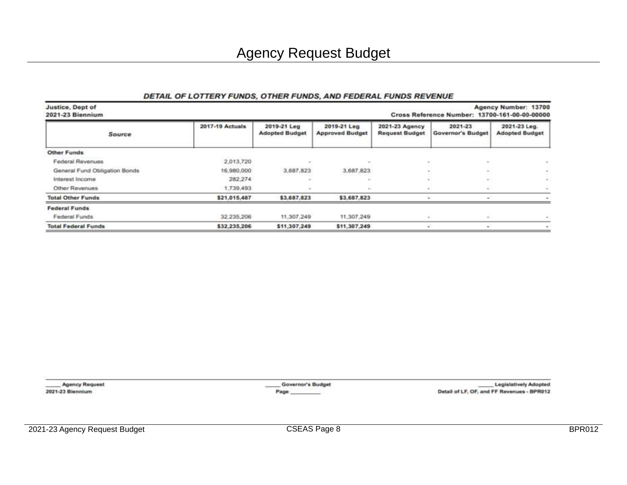#### DETAIL OF LOTTERY FUNDS, OTHER FUNDS, AND FEDERAL FUNDS REVENUE

| Justice, Dept of<br>Agency Number: 13700<br>2021-23 Biennium<br>Cross Reference Number: 13700-161-00-00-00000 |                 |                                      |                                       |                                         |                                  |                                       |  |  |
|---------------------------------------------------------------------------------------------------------------|-----------------|--------------------------------------|---------------------------------------|-----------------------------------------|----------------------------------|---------------------------------------|--|--|
| Source                                                                                                        | 2017-19 Actuals | 2019-21 Leg<br><b>Adopted Budget</b> | 2019-21 Leg<br><b>Approved Budget</b> | 2021-23 Agency<br><b>Request Budget</b> | $2021 - 23$<br>Governor's Budget | 2021-23 Leg.<br><b>Adopted Budget</b> |  |  |
| Other Funds                                                                                                   |                 |                                      |                                       |                                         |                                  |                                       |  |  |
| Federal Revenues                                                                                              | 2,013,720       |                                      |                                       |                                         |                                  |                                       |  |  |
| General Fund Obligation Bonds                                                                                 | 16,980,000      | 3,687,823                            | 3.687.823                             |                                         |                                  |                                       |  |  |
| Interest Income                                                                                               | 282,274         |                                      |                                       |                                         |                                  | $\sim$                                |  |  |
| Other Revenues                                                                                                | 1,739,493       |                                      |                                       |                                         |                                  |                                       |  |  |
| <b>Total Other Funds</b>                                                                                      | \$21,015,487    | \$3,687,823                          | \$3,687,823                           |                                         |                                  |                                       |  |  |
| <b>Federal Funds</b>                                                                                          |                 |                                      |                                       |                                         |                                  |                                       |  |  |
| Federal Funds                                                                                                 | 32.235.206      | 11,307,249                           | 11.307.249                            |                                         |                                  |                                       |  |  |
| <b>Total Federal Funds</b>                                                                                    | \$32,235,206    | \$11,307,249                         | \$11,307,249                          |                                         |                                  |                                       |  |  |

**Agency Request** 2021-23 Biennium

Governor's Budget Page

**Legislatively Adopted** Detail of LF, OF, and FF Revenues - BPR012